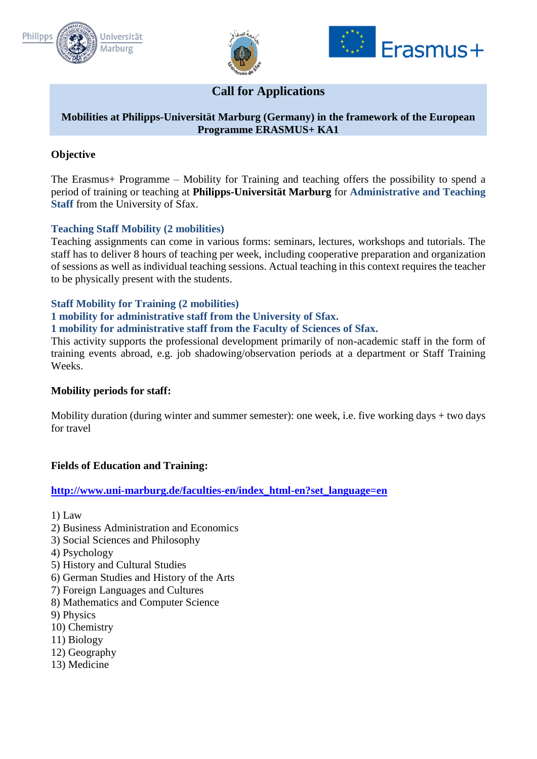





# **Call for Applications**

## **Mobilities at Philipps-Universität Marburg (Germany) in the framework of the European Programme ERASMUS+ KA1**

## **Objective**

The Erasmus+ Programme – Mobility for Training and teaching offers the possibility to spend a period of training or teaching at **Philipps-Universität Marburg** for **Administrative and Teaching Staff** from the University of Sfax.

## **Teaching Staff Mobility (2 mobilities)**

Teaching assignments can come in various forms: seminars, lectures, workshops and tutorials. The staff has to deliver 8 hours of teaching per week, including cooperative preparation and organization of sessions as well as individual teaching sessions. Actual teaching in this context requires the teacher to be physically present with the students.

## **Staff Mobility for Training (2 mobilities)**

#### **1 mobility for administrative staff from the University of Sfax.**

#### **1 mobility for administrative staff from the Faculty of Sciences of Sfax.**

This activity supports the professional development primarily of non-academic staff in the form of training events abroad, e.g. job shadowing/observation periods at a department or Staff Training Weeks.

## **Mobility periods for staff:**

Mobility duration (during winter and summer semester): one week, i.e. five working days + two days for travel

## **Fields of Education and Training:**

## **[http://www.uni-marburg.de/faculties-en/index\\_html-en?set\\_language=en](http://www.uni-marburg.de/faculties-en/index_html-en?set_language=en)**

- 1) Law
- 2) Business Administration and Economics
- 3) Social Sciences and Philosophy
- 4) Psychology
- 5) History and Cultural Studies
- 6) German Studies and History of the Arts
- 7) Foreign Languages and Cultures
- 8) Mathematics and Computer Science
- 9) Physics
- 10) Chemistry
- 11) Biology
- 12) Geography
- 13) Medicine